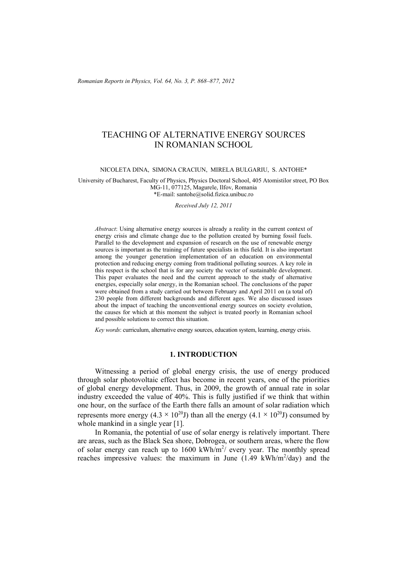*Romanian Reports in Physics, Vol. 64, No. 3, P. 868–877, 2012*

# TEACHING OF ALTERNATIVE ENERGY SOURCES IN ROMANIAN SCHOOL

NICOLETA DINA, SIMONA CRACIUN, MIRELA BULGARIU, S. ANTOHE\*

University of Bucharest, Faculty of Physics, Physics Doctoral School, 405 Atomistilor street, PO Box MG-11, 077125, Magurele, Ilfov, Romania \*E-mail: santohe@solid.fizica.unibuc.ro

*Received July 12, 2011* 

*Abstract*: Using alternative energy sources is already a reality in the current context of energy crisis and climate change due to the pollution created by burning fossil fuels. Parallel to the development and expansion of research on the use of renewable energy sources is important as the training of future specialists in this field. It is also important among the younger generation implementation of an education on environmental protection and reducing energy coming from traditional polluting sources. A key role in this respect is the school that is for any society the vector of sustainable development. This paper evaluates the need and the current approach to the study of alternative energies, especially solar energy, in the Romanian school. The conclusions of the paper were obtained from a study carried out between February and April 2011 on (a total of) 230 people from different backgrounds and different ages. We also discussed issues about the impact of teaching the unconventional energy sources on society evolution, the causes for which at this moment the subject is treated poorly in Romanian school and possible solutions to correct this situation.

*Key words*: curriculum, alternative energy sources, education system, learning, energy crisis.

### **1. INTRODUCTION**

 Witnessing a period of global energy crisis, the use of energy produced through solar photovoltaic effect has become in recent years, one of the priorities of global energy development. Thus, in 2009, the growth of annual rate in solar industry exceeded the value of 40%. This is fully justified if we think that within one hour, on the surface of the Earth there falls an amount of solar radiation which represents more energy (4.3  $\times$  10<sup>20</sup>J) than all the energy (4.1  $\times$  10<sup>20</sup>J) consumed by whole mankind in a single year [1].

 In Romania, the potential of use of solar energy is relatively important. There are areas, such as the Black Sea shore, Dobrogea, or southern areas, where the flow of solar energy can reach up to  $1600 \text{ kWh/m}^2$  every year. The monthly spread reaches impressive values: the maximum in June  $(1.49 \text{ kWh/m}^2/\text{day})$  and the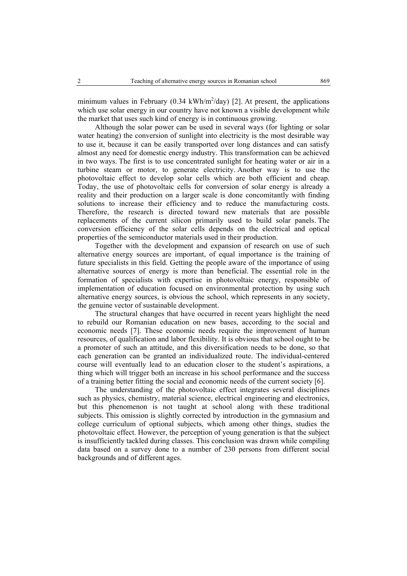minimum values in February (0.34 kWh/m<sup>2</sup>/day) [2]. At present, the applications which use solar energy in our country have not known a visible development while the market that uses such kind of energy is in continuous growing.

 Although the solar power can be used in several ways (for lighting or solar water heating) the conversion of sunlight into electricity is the most desirable way to use it, because it can be easily transported over long distances and can satisfy almost any need for domestic energy industry. This transformation can be achieved in two ways. The first is to use concentrated sunlight for heating water or air in a turbine steam or motor, to generate electricity. Another way is to use the photovoltaic effect to develop solar cells which are both efficient and cheap. Today, the use of photovoltaic cells for conversion of solar energy is already a reality and their production on a larger scale is done concomitantly with finding solutions to increase their efficiency and to reduce the manufacturing costs. Therefore, the research is directed toward new materials that are possible replacements of the current silicon primarily used to build solar panels. The conversion efficiency of the solar cells depends on the electrical and optical properties of the semiconductor materials used in their production.

 Together with the development and expansion of research on use of such alternative energy sources are important, of equal importance is the training of future specialists in this field. Getting the people aware of the importance of using alternative sources of energy is more than beneficial. The essential role in the formation of specialists with expertise in photovoltaic energy, responsible of implementation of education focused on environmental protection by using such alternative energy sources, is obvious the school, which represents in any society, the genuine vector of sustainable development.

 The structural changes that have occurred in recent years highlight the need to rebuild our Romanian education on new bases, according to the social and economic needs [7]. These economic needs require the improvement of human resources, of qualification and labor flexibility. It is obvious that school ought to be a promoter of such an attitude, and this diversification needs to be done, so that each generation can be granted an individualized route. The individual-centered course will eventually lead to an education closer to the student's aspirations, a thing which will trigger both an increase in his school performance and the success of a training better fitting the social and economic needs of the current society [6].

 The understanding of the photovoltaic effect integrates several disciplines such as physics, chemistry, material science, electrical engineering and electronics, but this phenomenon is not taught at school along with these traditional subjects. This omission is slightly corrected by introduction in the gymnasium and college curriculum of optional subjects, which among other things, studies the photovoltaic effect. However, the perception of young generation is that the subject is insufficiently tackled during classes. This conclusion was drawn while compiling data based on a survey done to a number of 230 persons from different social backgrounds and of different ages.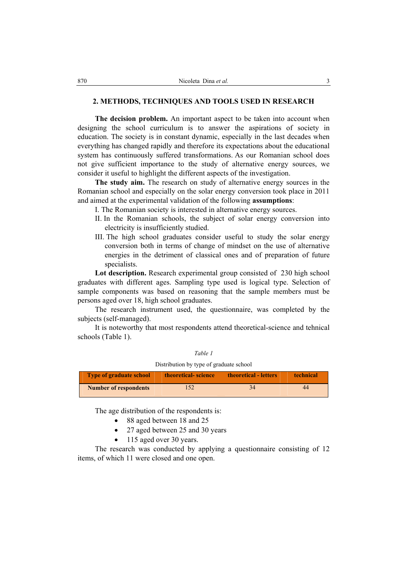## **2. METHODS, TECHNIQUES AND TOOLS USED IN RESEARCH**

**The decision problem.** An important aspect to be taken into account when designing the school curriculum is to answer the aspirations of society in education. The society is in constant dynamic, especially in the last decades when everything has changed rapidly and therefore its expectations about the educational system has continuously suffered transformations. As our Romanian school does not give sufficient importance to the study of alternative energy sources, we consider it useful to highlight the different aspects of the investigation.

**The study aim.** The research on study of alternative energy sources in the Romanian school and especially on the solar energy conversion took place in 2011 and aimed at the experimental validation of the following **assumptions**:

I. The Romanian society is interested in alternative energy sources.

- II. In the Romanian schools, the subject of solar energy conversion into electricity is insufficiently studied.
- III. The high school graduates consider useful to study the solar energy conversion both in terms of change of mindset on the use of alternative energies in the detriment of classical ones and of preparation of future specialists.

**Lot description.** Research experimental group consisted of 230 high school graduates with different ages. Sampling type used is logical type. Selection of sample components was based on reasoning that the sample members must be persons aged over 18, high school graduates.

 The research instrument used, the questionnaire, was completed by the subjects (self-managed).

 It is noteworthy that most respondents attend theoretical-science and tehnical schools (Table 1).

| Distribution by type of graduate school |                            |                       |                  |  |  |
|-----------------------------------------|----------------------------|-----------------------|------------------|--|--|
| <b>Type of graduate school</b>          | <b>theoretical-science</b> | theoretical - letters | <b>technical</b> |  |  |

*Table 1* 

| <u>i ype of graduate school</u> | theoretical- science | theoretical - letters | тесппісят |  |
|---------------------------------|----------------------|-----------------------|-----------|--|
| <b>Number of respondents</b>    |                      |                       | 44        |  |

The age distribution of the respondents is:

- 88 aged between 18 and 25
- 27 aged between 25 and 30 years
- 115 aged over 30 years.

 The research was conducted by applying a questionnaire consisting of 12 items, of which 11 were closed and one open.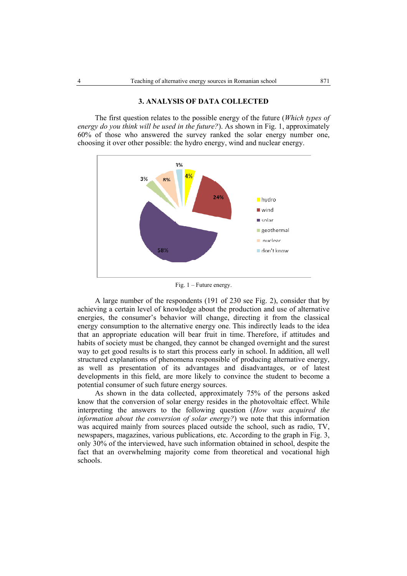#### **3. ANALYSIS OF DATA COLLECTED**

 The first question relates to the possible energy of the future (*Which types of energy do you think will be used in the future?*). As shown in Fig. 1, approximately 60% of those who answered the survey ranked the solar energy number one, choosing it over other possible: the hydro energy, wind and nuclear energy.



Fig. 1 – Future energy.

 A large number of the respondents (191 of 230 see Fig. 2), consider that by achieving a certain level of knowledge about the production and use of alternative energies, the consumer's behavior will change, directing it from the classical energy consumption to the alternative energy one. This indirectly leads to the idea that an appropriate education will bear fruit in time. Therefore, if attitudes and habits of society must be changed, they cannot be changed overnight and the surest way to get good results is to start this process early in school. In addition, all well structured explanations of phenomena responsible of producing alternative energy, as well as presentation of its advantages and disadvantages, or of latest developments in this field, are more likely to convince the student to become a potential consumer of such future energy sources.

 As shown in the data collected, approximately 75% of the persons asked know that the conversion of solar energy resides in the photovoltaic effect. While interpreting the answers to the following question (*How was acquired the information about the conversion of solar energy?*) we note that this information was acquired mainly from sources placed outside the school, such as radio, TV, newspapers, magazines, various publications, etc. According to the graph in Fig. 3, only 30% of the interviewed, have such information obtained in school, despite the fact that an overwhelming majority come from theoretical and vocational high schools.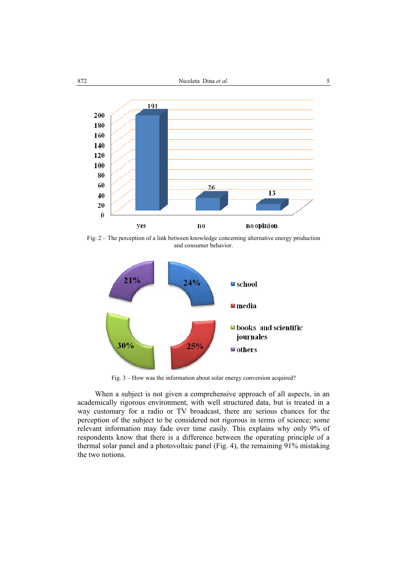

Fig. 2 – The perception of a link between knowledge concerning alternative energy production and consumer behavior.



Fig. 3 – How was the information about solar energy conversion acquired?

 When a subject is not given a comprehensive approach of all aspects, in an academically rigorous environment, with well structured data, but is treated in a way customary for a radio or TV broadcast, there are serious chances for the perception of the subject to be considered not rigorous in terms of science; some relevant information may fade over time easily. This explains why only 9% of respondents know that there is a difference between the operating principle of a thermal solar panel and a photovoltaic panel (Fig. 4), the remaining 91% mistaking the two notions.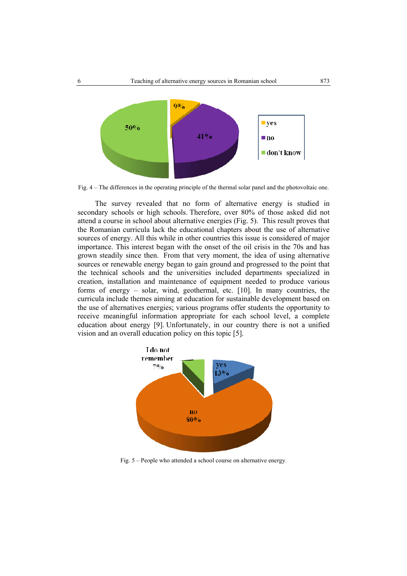

Fig. 4 – The differences in the operating principle of the thermal solar panel and the photovoltaic one.

 The survey revealed that no form of alternative energy is studied in secondary schools or high schools. Therefore, over 80% of those asked did not attend a course in school about alternative energies (Fig. 5). This result proves that the Romanian curricula lack the educational chapters about the use of alternative sources of energy. All this while in other countries this issue is considered of major importance. This interest began with the onset of the oil crisis in the 70s and has grown steadily since then. From that very moment, the idea of using alternative sources or renewable energy began to gain ground and progressed to the point that the technical schools and the universities included departments specialized in creation, installation and maintenance of equipment needed to produce various forms of energy – solar, wind, geothermal, etc. [10]. In many countries, the curricula include themes aiming at education for sustainable development based on the use of alternatives energies; various programs offer students the opportunity to receive meaningful information appropriate for each school level, a complete education about energy [9]. Unfortunately, in our country there is not a unified vision and an overall education policy on this topic [5].



Fig. 5 – People who attended a school course on alternative energy.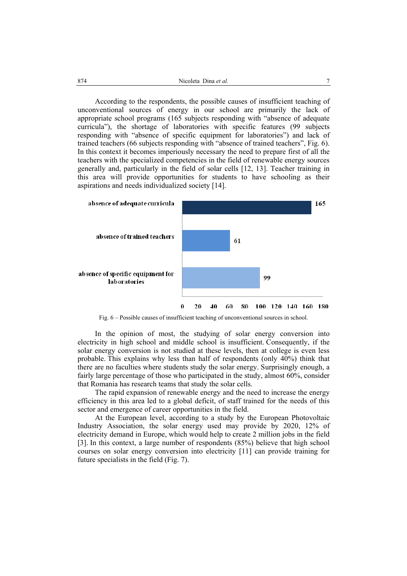According to the respondents, the possible causes of insufficient teaching of unconventional sources of energy in our school are primarily the lack of appropriate school programs (165 subjects responding with "absence of adequate curricula"), the shortage of laboratories with specific features (99 subjects responding with "absence of specific equipment for laboratories") and lack of trained teachers (66 subjects responding with "absence of trained teachers", Fig. 6). In this context it becomes imperiously necessary the need to prepare first of all the teachers with the specialized competencies in the field of renewable energy sources generally and, particularly in the field of solar cells [12, 13]. Teacher training in this area will provide opportunities for students to have schooling as their aspirations and needs individualized society [14].



Fig. 6 – Possible causes of insufficient teaching of unconventional sources in school.

 In the opinion of most, the studying of solar energy conversion into electricity in high school and middle school is insufficient. Consequently, if the solar energy conversion is not studied at these levels, then at college is even less probable. This explains why less than half of respondents (only 40%) think that there are no faculties where students study the solar energy. Surprisingly enough, a fairly large percentage of those who participated in the study, almost 60%, consider that Romania has research teams that study the solar cells.

 The rapid expansion of renewable energy and the need to increase the energy efficiency in this area led to a global deficit, of staff trained for the needs of this sector and emergence of career opportunities in the field.

 At the European level, according to a study by the European Photovoltaic Industry Association, the solar energy used may provide by 2020, 12% of electricity demand in Europe, which would help to create 2 million jobs in the field [3]. In this context, a large number of respondents (85%) believe that high school courses on solar energy conversion into electricity [11] can provide training for future specialists in the field (Fig. 7).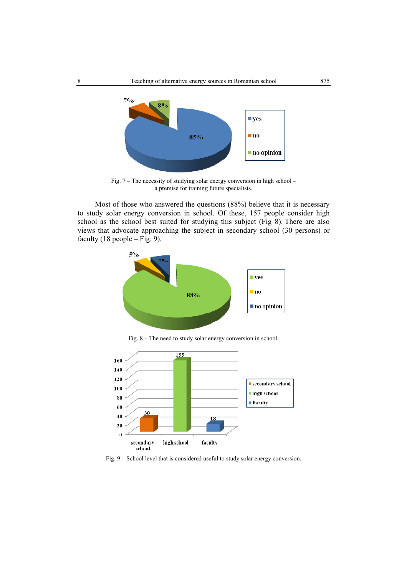

Fig. 7 – The necessity of studying solar energy conversion in high school – a premise for training future specialists.

 Most of those who answered the questions (88%) believe that it is necessary to study solar energy conversion in school. Of these, 157 people consider high school as the school best suited for studying this subject (Fig 8). There are also views that advocate approaching the subject in secondary school (30 persons) or faculty  $(18 \text{ people} - \text{Fig. 9}).$ 



Fig. 8 – The need to study solar energy conversion in school.



Fig. 9 – School level that is considered useful to study solar energy conversion.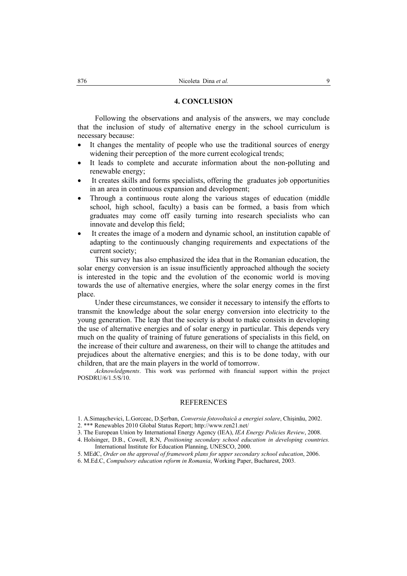#### **4. CONCLUSION**

 Following the observations and analysis of the answers, we may conclude that the inclusion of study of alternative energy in the school curriculum is necessary because:

- It changes the mentality of people who use the traditional sources of energy widening their perception of the more current ecological trends;
- It leads to complete and accurate information about the non-polluting and renewable energy;
- It creates skills and forms specialists, offering the graduates job opportunities in an area in continuous expansion and development;
- Through a continuous route along the various stages of education (middle school, high school, faculty) a basis can be formed, a basis from which graduates may come off easily turning into research specialists who can innovate and develop this field;
- It creates the image of a modern and dynamic school, an institution capable of adapting to the continuously changing requirements and expectations of the current society;

 This survey has also emphasized the idea that in the Romanian education, the solar energy conversion is an issue insufficiently approached although the society is interested in the topic and the evolution of the economic world is moving towards the use of alternative energies, where the solar energy comes in the first place.

 Under these circumstances, we consider it necessary to intensify the efforts to transmit the knowledge about the solar energy conversion into electricity to the young generation. The leap that the society is about to make consists in developing the use of alternative energies and of solar energy in particular. This depends very much on the quality of training of future generations of specialists in this field, on the increase of their culture and awareness, on their will to change the attitudes and prejudices about the alternative energies; and this is to be done today, with our children, that are the main players in the world of tomorrow.

*Acknowledgments*. This work was performed with financial support within the project POSDRU/6/1.5/S/10.

#### REFERENCES

- 1. A.Simaşchevici, L.Gorceac, D.Şerban, *Conversia fotovoltaică a energiei solare*, Chişinău, 2002.
- 2. \*\*\* Renewables 2010 Global Status Report; http://www.ren21.net/
- 3. The European Union by International Energy Agency (IEA), *IEA Energy Policies Review*, 2008.
- 4. Holsinger, D.B., Cowell, R.N, *Positioning secondary school education in developing countries.* International Institute for Education Planning, UNESCO, 2000.
- 5. MEdC, *Order on the approval of framework plans for upper secondary school education*, 2006.
- 6. M.Ed.C, *Compulsory education reform in Romania*, Working Paper, Bucharest, 2003.